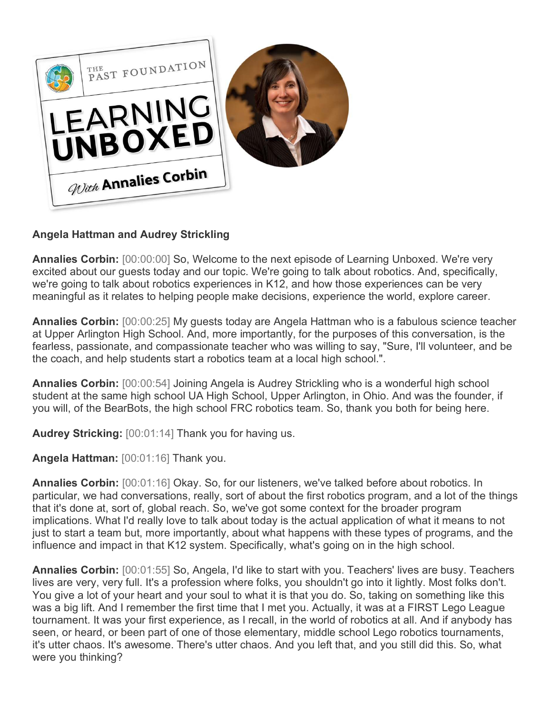

## **Angela Hattman and Audrey Strickling**

**Annalies Corbin:** [00:00:00] So, Welcome to the next episode of Learning Unboxed. We're very excited about our guests today and our topic. We're going to talk about robotics. And, specifically, we're going to talk about robotics experiences in K12, and how those experiences can be very meaningful as it relates to helping people make decisions, experience the world, explore career.

**Annalies Corbin:** [00:00:25] My guests today are Angela Hattman who is a fabulous science teacher at Upper Arlington High School. And, more importantly, for the purposes of this conversation, is the fearless, passionate, and compassionate teacher who was willing to say, "Sure, I'll volunteer, and be the coach, and help students start a robotics team at a local high school.".

**Annalies Corbin:** [00:00:54] Joining Angela is Audrey Strickling who is a wonderful high school student at the same high school UA High School, Upper Arlington, in Ohio. And was the founder, if you will, of the BearBots, the high school FRC robotics team. So, thank you both for being here.

**Audrey Stricking:** [00:01:14] Thank you for having us.

**Angela Hattman:** [00:01:16] Thank you.

**Annalies Corbin:** [00:01:16] Okay. So, for our listeners, we've talked before about robotics. In particular, we had conversations, really, sort of about the first robotics program, and a lot of the things that it's done at, sort of, global reach. So, we've got some context for the broader program implications. What I'd really love to talk about today is the actual application of what it means to not just to start a team but, more importantly, about what happens with these types of programs, and the influence and impact in that K12 system. Specifically, what's going on in the high school.

**Annalies Corbin:** [00:01:55] So, Angela, I'd like to start with you. Teachers' lives are busy. Teachers lives are very, very full. It's a profession where folks, you shouldn't go into it lightly. Most folks don't. You give a lot of your heart and your soul to what it is that you do. So, taking on something like this was a big lift. And I remember the first time that I met you. Actually, it was at a FIRST Lego League tournament. It was your first experience, as I recall, in the world of robotics at all. And if anybody has seen, or heard, or been part of one of those elementary, middle school Lego robotics tournaments, it's utter chaos. It's awesome. There's utter chaos. And you left that, and you still did this. So, what were you thinking?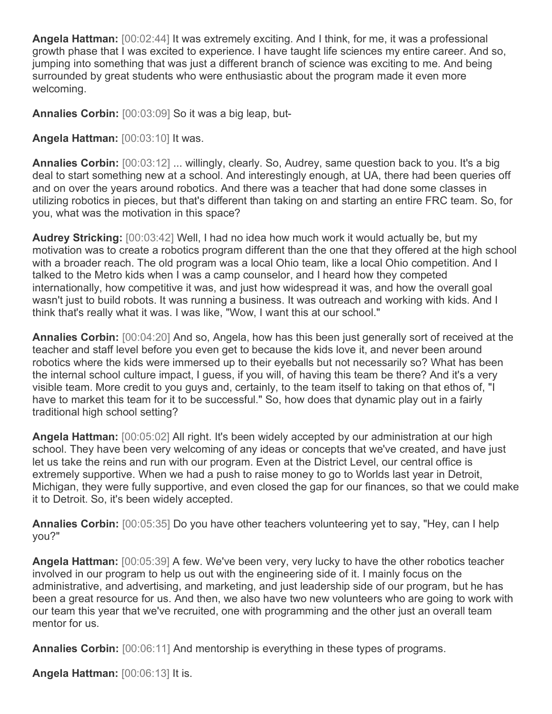**Angela Hattman:** [00:02:44] It was extremely exciting. And I think, for me, it was a professional growth phase that I was excited to experience. I have taught life sciences my entire career. And so, jumping into something that was just a different branch of science was exciting to me. And being surrounded by great students who were enthusiastic about the program made it even more welcoming.

**Annalies Corbin:** [00:03:09] So it was a big leap, but-

**Angela Hattman:** [00:03:10] It was.

**Annalies Corbin:** [00:03:12] ... willingly, clearly. So, Audrey, same question back to you. It's a big deal to start something new at a school. And interestingly enough, at UA, there had been queries off and on over the years around robotics. And there was a teacher that had done some classes in utilizing robotics in pieces, but that's different than taking on and starting an entire FRC team. So, for you, what was the motivation in this space?

**Audrey Stricking:** [00:03:42] Well, I had no idea how much work it would actually be, but my motivation was to create a robotics program different than the one that they offered at the high school with a broader reach. The old program was a local Ohio team, like a local Ohio competition. And I talked to the Metro kids when I was a camp counselor, and I heard how they competed internationally, how competitive it was, and just how widespread it was, and how the overall goal wasn't just to build robots. It was running a business. It was outreach and working with kids. And I think that's really what it was. I was like, "Wow, I want this at our school."

**Annalies Corbin:** [00:04:20] And so, Angela, how has this been just generally sort of received at the teacher and staff level before you even get to because the kids love it, and never been around robotics where the kids were immersed up to their eyeballs but not necessarily so? What has been the internal school culture impact, I guess, if you will, of having this team be there? And it's a very visible team. More credit to you guys and, certainly, to the team itself to taking on that ethos of, "I have to market this team for it to be successful." So, how does that dynamic play out in a fairly traditional high school setting?

**Angela Hattman:** [00:05:02] All right. It's been widely accepted by our administration at our high school. They have been very welcoming of any ideas or concepts that we've created, and have just let us take the reins and run with our program. Even at the District Level, our central office is extremely supportive. When we had a push to raise money to go to Worlds last year in Detroit, Michigan, they were fully supportive, and even closed the gap for our finances, so that we could make it to Detroit. So, it's been widely accepted.

**Annalies Corbin:** [00:05:35] Do you have other teachers volunteering yet to say, "Hey, can I help you?"

**Angela Hattman:** [00:05:39] A few. We've been very, very lucky to have the other robotics teacher involved in our program to help us out with the engineering side of it. I mainly focus on the administrative, and advertising, and marketing, and just leadership side of our program, but he has been a great resource for us. And then, we also have two new volunteers who are going to work with our team this year that we've recruited, one with programming and the other just an overall team mentor for us.

**Annalies Corbin:** [00:06:11] And mentorship is everything in these types of programs.

**Angela Hattman:** [00:06:13] It is.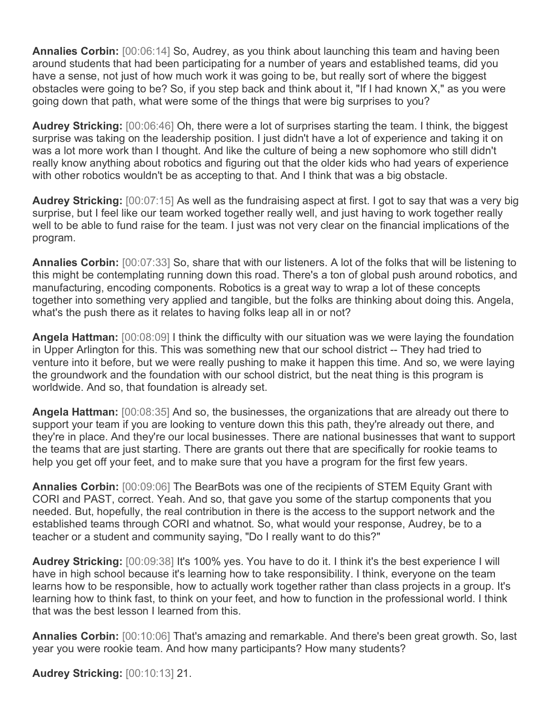**Annalies Corbin:** [00:06:14] So, Audrey, as you think about launching this team and having been around students that had been participating for a number of years and established teams, did you have a sense, not just of how much work it was going to be, but really sort of where the biggest obstacles were going to be? So, if you step back and think about it, "If I had known X," as you were going down that path, what were some of the things that were big surprises to you?

**Audrey Stricking:** [00:06:46] Oh, there were a lot of surprises starting the team. I think, the biggest surprise was taking on the leadership position. I just didn't have a lot of experience and taking it on was a lot more work than I thought. And like the culture of being a new sophomore who still didn't really know anything about robotics and figuring out that the older kids who had years of experience with other robotics wouldn't be as accepting to that. And I think that was a big obstacle.

**Audrey Stricking:** [00:07:15] As well as the fundraising aspect at first. I got to say that was a very big surprise, but I feel like our team worked together really well, and just having to work together really well to be able to fund raise for the team. I just was not very clear on the financial implications of the program.

**Annalies Corbin:** [00:07:33] So, share that with our listeners. A lot of the folks that will be listening to this might be contemplating running down this road. There's a ton of global push around robotics, and manufacturing, encoding components. Robotics is a great way to wrap a lot of these concepts together into something very applied and tangible, but the folks are thinking about doing this. Angela, what's the push there as it relates to having folks leap all in or not?

**Angela Hattman:** [00:08:09] I think the difficulty with our situation was we were laying the foundation in Upper Arlington for this. This was something new that our school district -- They had tried to venture into it before, but we were really pushing to make it happen this time. And so, we were laying the groundwork and the foundation with our school district, but the neat thing is this program is worldwide. And so, that foundation is already set.

**Angela Hattman:** [00:08:35] And so, the businesses, the organizations that are already out there to support your team if you are looking to venture down this this path, they're already out there, and they're in place. And they're our local businesses. There are national businesses that want to support the teams that are just starting. There are grants out there that are specifically for rookie teams to help you get off your feet, and to make sure that you have a program for the first few years.

**Annalies Corbin:** [00:09:06] The BearBots was one of the recipients of STEM Equity Grant with CORI and PAST, correct. Yeah. And so, that gave you some of the startup components that you needed. But, hopefully, the real contribution in there is the access to the support network and the established teams through CORI and whatnot. So, what would your response, Audrey, be to a teacher or a student and community saying, "Do I really want to do this?"

**Audrey Stricking:** [00:09:38] It's 100% yes. You have to do it. I think it's the best experience I will have in high school because it's learning how to take responsibility. I think, everyone on the team learns how to be responsible, how to actually work together rather than class projects in a group. It's learning how to think fast, to think on your feet, and how to function in the professional world. I think that was the best lesson I learned from this.

**Annalies Corbin:** [00:10:06] That's amazing and remarkable. And there's been great growth. So, last year you were rookie team. And how many participants? How many students?

**Audrey Stricking:** [00:10:13] 21.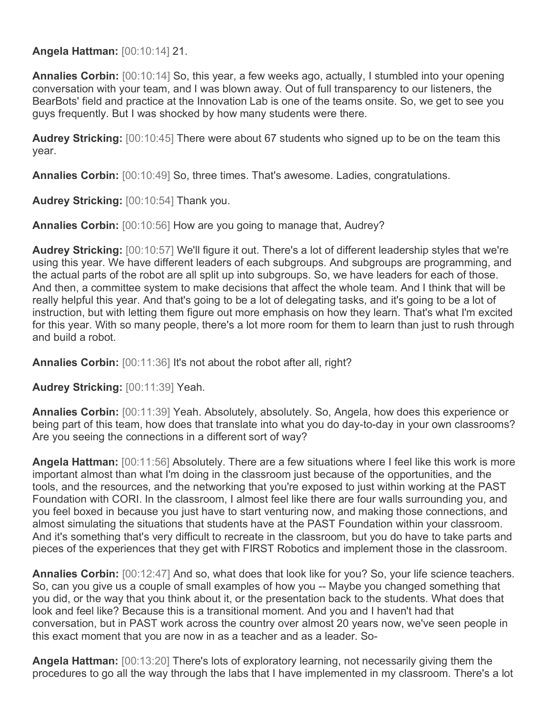**Angela Hattman:** [00:10:14] 21.

**Annalies Corbin:** [00:10:14] So, this year, a few weeks ago, actually, I stumbled into your opening conversation with your team, and I was blown away. Out of full transparency to our listeners, the BearBots' field and practice at the Innovation Lab is one of the teams onsite. So, we get to see you guys frequently. But I was shocked by how many students were there.

**Audrey Stricking:** [00:10:45] There were about 67 students who signed up to be on the team this year.

**Annalies Corbin:** [00:10:49] So, three times. That's awesome. Ladies, congratulations.

**Audrey Stricking:** [00:10:54] Thank you.

**Annalies Corbin:** [00:10:56] How are you going to manage that, Audrey?

**Audrey Stricking:** [00:10:57] We'll figure it out. There's a lot of different leadership styles that we're using this year. We have different leaders of each subgroups. And subgroups are programming, and the actual parts of the robot are all split up into subgroups. So, we have leaders for each of those. And then, a committee system to make decisions that affect the whole team. And I think that will be really helpful this year. And that's going to be a lot of delegating tasks, and it's going to be a lot of instruction, but with letting them figure out more emphasis on how they learn. That's what I'm excited for this year. With so many people, there's a lot more room for them to learn than just to rush through and build a robot.

**Annalies Corbin:** [00:11:36] It's not about the robot after all, right?

**Audrey Stricking:** [00:11:39] Yeah.

**Annalies Corbin:** [00:11:39] Yeah. Absolutely, absolutely. So, Angela, how does this experience or being part of this team, how does that translate into what you do day-to-day in your own classrooms? Are you seeing the connections in a different sort of way?

**Angela Hattman:** [00:11:56] Absolutely. There are a few situations where I feel like this work is more important almost than what I'm doing in the classroom just because of the opportunities, and the tools, and the resources, and the networking that you're exposed to just within working at the PAST Foundation with CORI. In the classroom, I almost feel like there are four walls surrounding you, and you feel boxed in because you just have to start venturing now, and making those connections, and almost simulating the situations that students have at the PAST Foundation within your classroom. And it's something that's very difficult to recreate in the classroom, but you do have to take parts and pieces of the experiences that they get with FIRST Robotics and implement those in the classroom.

**Annalies Corbin:** [00:12:47] And so, what does that look like for you? So, your life science teachers. So, can you give us a couple of small examples of how you -- Maybe you changed something that you did, or the way that you think about it, or the presentation back to the students. What does that look and feel like? Because this is a transitional moment. And you and I haven't had that conversation, but in PAST work across the country over almost 20 years now, we've seen people in this exact moment that you are now in as a teacher and as a leader. So-

**Angela Hattman:** [00:13:20] There's lots of exploratory learning, not necessarily giving them the procedures to go all the way through the labs that I have implemented in my classroom. There's a lot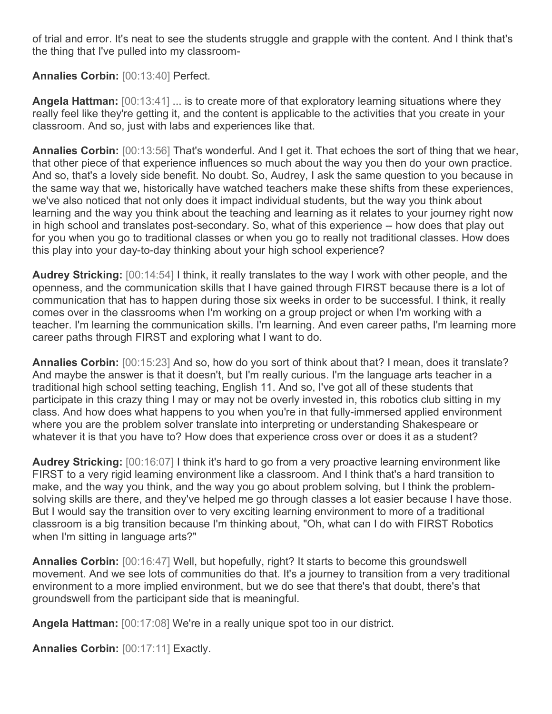of trial and error. It's neat to see the students struggle and grapple with the content. And I think that's the thing that I've pulled into my classroom-

## **Annalies Corbin:** [00:13:40] Perfect.

**Angela Hattman:** [00:13:41] ... is to create more of that exploratory learning situations where they really feel like they're getting it, and the content is applicable to the activities that you create in your classroom. And so, just with labs and experiences like that.

**Annalies Corbin:** [00:13:56] That's wonderful. And I get it. That echoes the sort of thing that we hear, that other piece of that experience influences so much about the way you then do your own practice. And so, that's a lovely side benefit. No doubt. So, Audrey, I ask the same question to you because in the same way that we, historically have watched teachers make these shifts from these experiences, we've also noticed that not only does it impact individual students, but the way you think about learning and the way you think about the teaching and learning as it relates to your journey right now in high school and translates post-secondary. So, what of this experience -- how does that play out for you when you go to traditional classes or when you go to really not traditional classes. How does this play into your day-to-day thinking about your high school experience?

**Audrey Stricking:** [00:14:54] I think, it really translates to the way I work with other people, and the openness, and the communication skills that I have gained through FIRST because there is a lot of communication that has to happen during those six weeks in order to be successful. I think, it really comes over in the classrooms when I'm working on a group project or when I'm working with a teacher. I'm learning the communication skills. I'm learning. And even career paths, I'm learning more career paths through FIRST and exploring what I want to do.

**Annalies Corbin:** [00:15:23] And so, how do you sort of think about that? I mean, does it translate? And maybe the answer is that it doesn't, but I'm really curious. I'm the language arts teacher in a traditional high school setting teaching, English 11. And so, I've got all of these students that participate in this crazy thing I may or may not be overly invested in, this robotics club sitting in my class. And how does what happens to you when you're in that fully-immersed applied environment where you are the problem solver translate into interpreting or understanding Shakespeare or whatever it is that you have to? How does that experience cross over or does it as a student?

**Audrey Stricking:** [00:16:07] I think it's hard to go from a very proactive learning environment like FIRST to a very rigid learning environment like a classroom. And I think that's a hard transition to make, and the way you think, and the way you go about problem solving, but I think the problemsolving skills are there, and they've helped me go through classes a lot easier because I have those. But I would say the transition over to very exciting learning environment to more of a traditional classroom is a big transition because I'm thinking about, "Oh, what can I do with FIRST Robotics when I'm sitting in language arts?"

**Annalies Corbin:** [00:16:47] Well, but hopefully, right? It starts to become this groundswell movement. And we see lots of communities do that. It's a journey to transition from a very traditional environment to a more implied environment, but we do see that there's that doubt, there's that groundswell from the participant side that is meaningful.

**Angela Hattman:** [00:17:08] We're in a really unique spot too in our district.

**Annalies Corbin:** [00:17:11] Exactly.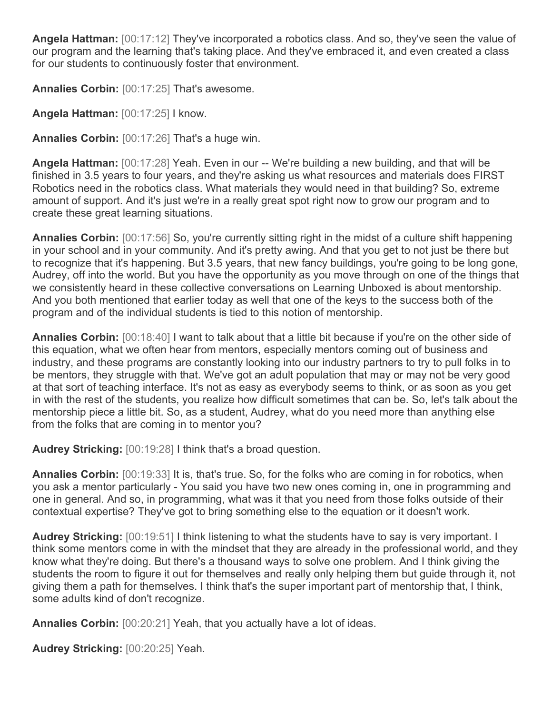**Angela Hattman:** [00:17:12] They've incorporated a robotics class. And so, they've seen the value of our program and the learning that's taking place. And they've embraced it, and even created a class for our students to continuously foster that environment.

**Annalies Corbin:** [00:17:25] That's awesome.

**Angela Hattman:** [00:17:25] I know.

**Annalies Corbin:** [00:17:26] That's a huge win.

**Angela Hattman:** [00:17:28] Yeah. Even in our -- We're building a new building, and that will be finished in 3.5 years to four years, and they're asking us what resources and materials does FIRST Robotics need in the robotics class. What materials they would need in that building? So, extreme amount of support. And it's just we're in a really great spot right now to grow our program and to create these great learning situations.

**Annalies Corbin:** [00:17:56] So, you're currently sitting right in the midst of a culture shift happening in your school and in your community. And it's pretty awing. And that you get to not just be there but to recognize that it's happening. But 3.5 years, that new fancy buildings, you're going to be long gone, Audrey, off into the world. But you have the opportunity as you move through on one of the things that we consistently heard in these collective conversations on Learning Unboxed is about mentorship. And you both mentioned that earlier today as well that one of the keys to the success both of the program and of the individual students is tied to this notion of mentorship.

**Annalies Corbin:** [00:18:40] I want to talk about that a little bit because if you're on the other side of this equation, what we often hear from mentors, especially mentors coming out of business and industry, and these programs are constantly looking into our industry partners to try to pull folks in to be mentors, they struggle with that. We've got an adult population that may or may not be very good at that sort of teaching interface. It's not as easy as everybody seems to think, or as soon as you get in with the rest of the students, you realize how difficult sometimes that can be. So, let's talk about the mentorship piece a little bit. So, as a student, Audrey, what do you need more than anything else from the folks that are coming in to mentor you?

**Audrey Stricking:** [00:19:28] I think that's a broad question.

**Annalies Corbin:**  $[00:19:33]$  It is, that's true. So, for the folks who are coming in for robotics, when you ask a mentor particularly - You said you have two new ones coming in, one in programming and one in general. And so, in programming, what was it that you need from those folks outside of their contextual expertise? They've got to bring something else to the equation or it doesn't work.

**Audrey Stricking:** [00:19:51] I think listening to what the students have to say is very important. I think some mentors come in with the mindset that they are already in the professional world, and they know what they're doing. But there's a thousand ways to solve one problem. And I think giving the students the room to figure it out for themselves and really only helping them but guide through it, not giving them a path for themselves. I think that's the super important part of mentorship that, I think, some adults kind of don't recognize.

**Annalies Corbin:** [00:20:21] Yeah, that you actually have a lot of ideas.

**Audrey Stricking:** [00:20:25] Yeah.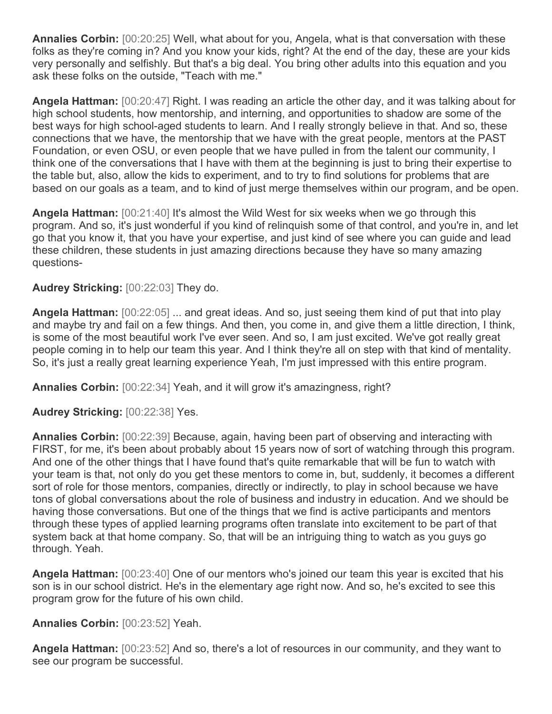**Annalies Corbin:** [00:20:25] Well, what about for you, Angela, what is that conversation with these folks as they're coming in? And you know your kids, right? At the end of the day, these are your kids very personally and selfishly. But that's a big deal. You bring other adults into this equation and you ask these folks on the outside, "Teach with me."

**Angela Hattman:** [00:20:47] Right. I was reading an article the other day, and it was talking about for high school students, how mentorship, and interning, and opportunities to shadow are some of the best ways for high school-aged students to learn. And I really strongly believe in that. And so, these connections that we have, the mentorship that we have with the great people, mentors at the PAST Foundation, or even OSU, or even people that we have pulled in from the talent our community, I think one of the conversations that I have with them at the beginning is just to bring their expertise to the table but, also, allow the kids to experiment, and to try to find solutions for problems that are based on our goals as a team, and to kind of just merge themselves within our program, and be open.

**Angela Hattman:** [00:21:40] It's almost the Wild West for six weeks when we go through this program. And so, it's just wonderful if you kind of relinquish some of that control, and you're in, and let go that you know it, that you have your expertise, and just kind of see where you can guide and lead these children, these students in just amazing directions because they have so many amazing questions-

## **Audrey Stricking:** [00:22:03] They do.

**Angela Hattman:** [00:22:05] ... and great ideas. And so, just seeing them kind of put that into play and maybe try and fail on a few things. And then, you come in, and give them a little direction, I think, is some of the most beautiful work I've ever seen. And so, I am just excited. We've got really great people coming in to help our team this year. And I think they're all on step with that kind of mentality. So, it's just a really great learning experience Yeah, I'm just impressed with this entire program.

**Annalies Corbin:** [00:22:34] Yeah, and it will grow it's amazingness, right?

**Audrey Stricking:** [00:22:38] Yes.

**Annalies Corbin:** [00:22:39] Because, again, having been part of observing and interacting with FIRST, for me, it's been about probably about 15 years now of sort of watching through this program. And one of the other things that I have found that's quite remarkable that will be fun to watch with your team is that, not only do you get these mentors to come in, but, suddenly, it becomes a different sort of role for those mentors, companies, directly or indirectly, to play in school because we have tons of global conversations about the role of business and industry in education. And we should be having those conversations. But one of the things that we find is active participants and mentors through these types of applied learning programs often translate into excitement to be part of that system back at that home company. So, that will be an intriguing thing to watch as you guys go through. Yeah.

**Angela Hattman:** [00:23:40] One of our mentors who's joined our team this year is excited that his son is in our school district. He's in the elementary age right now. And so, he's excited to see this program grow for the future of his own child.

## **Annalies Corbin:** [00:23:52] Yeah.

**Angela Hattman:** [00:23:52] And so, there's a lot of resources in our community, and they want to see our program be successful.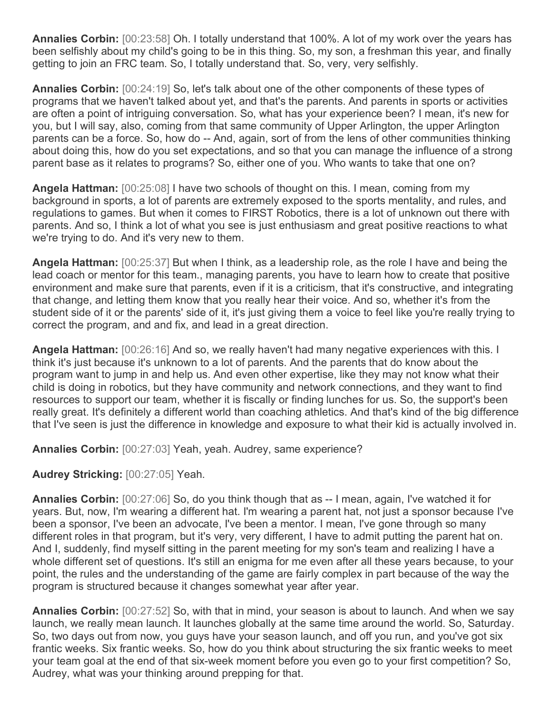**Annalies Corbin:** [00:23:58] Oh. I totally understand that 100%. A lot of my work over the years has been selfishly about my child's going to be in this thing. So, my son, a freshman this year, and finally getting to join an FRC team. So, I totally understand that. So, very, very selfishly.

**Annalies Corbin:** [00:24:19] So, let's talk about one of the other components of these types of programs that we haven't talked about yet, and that's the parents. And parents in sports or activities are often a point of intriguing conversation. So, what has your experience been? I mean, it's new for you, but I will say, also, coming from that same community of Upper Arlington, the upper Arlington parents can be a force. So, how do -- And, again, sort of from the lens of other communities thinking about doing this, how do you set expectations, and so that you can manage the influence of a strong parent base as it relates to programs? So, either one of you. Who wants to take that one on?

**Angela Hattman:** [00:25:08] I have two schools of thought on this. I mean, coming from my background in sports, a lot of parents are extremely exposed to the sports mentality, and rules, and regulations to games. But when it comes to FIRST Robotics, there is a lot of unknown out there with parents. And so, I think a lot of what you see is just enthusiasm and great positive reactions to what we're trying to do. And it's very new to them.

**Angela Hattman:** [00:25:37] But when I think, as a leadership role, as the role I have and being the lead coach or mentor for this team., managing parents, you have to learn how to create that positive environment and make sure that parents, even if it is a criticism, that it's constructive, and integrating that change, and letting them know that you really hear their voice. And so, whether it's from the student side of it or the parents' side of it, it's just giving them a voice to feel like you're really trying to correct the program, and and fix, and lead in a great direction.

**Angela Hattman:** [00:26:16] And so, we really haven't had many negative experiences with this. I think it's just because it's unknown to a lot of parents. And the parents that do know about the program want to jump in and help us. And even other expertise, like they may not know what their child is doing in robotics, but they have community and network connections, and they want to find resources to support our team, whether it is fiscally or finding lunches for us. So, the support's been really great. It's definitely a different world than coaching athletics. And that's kind of the big difference that I've seen is just the difference in knowledge and exposure to what their kid is actually involved in.

**Annalies Corbin:** [00:27:03] Yeah, yeah. Audrey, same experience?

**Audrey Stricking:** [00:27:05] Yeah.

**Annalies Corbin:** [00:27:06] So, do you think though that as -- I mean, again, I've watched it for years. But, now, I'm wearing a different hat. I'm wearing a parent hat, not just a sponsor because I've been a sponsor, I've been an advocate, I've been a mentor. I mean, I've gone through so many different roles in that program, but it's very, very different, I have to admit putting the parent hat on. And I, suddenly, find myself sitting in the parent meeting for my son's team and realizing I have a whole different set of questions. It's still an enigma for me even after all these years because, to your point, the rules and the understanding of the game are fairly complex in part because of the way the program is structured because it changes somewhat year after year.

**Annalies Corbin:** [00:27:52] So, with that in mind, your season is about to launch. And when we say launch, we really mean launch. It launches globally at the same time around the world. So, Saturday. So, two days out from now, you guys have your season launch, and off you run, and you've got six frantic weeks. Six frantic weeks. So, how do you think about structuring the six frantic weeks to meet your team goal at the end of that six-week moment before you even go to your first competition? So, Audrey, what was your thinking around prepping for that.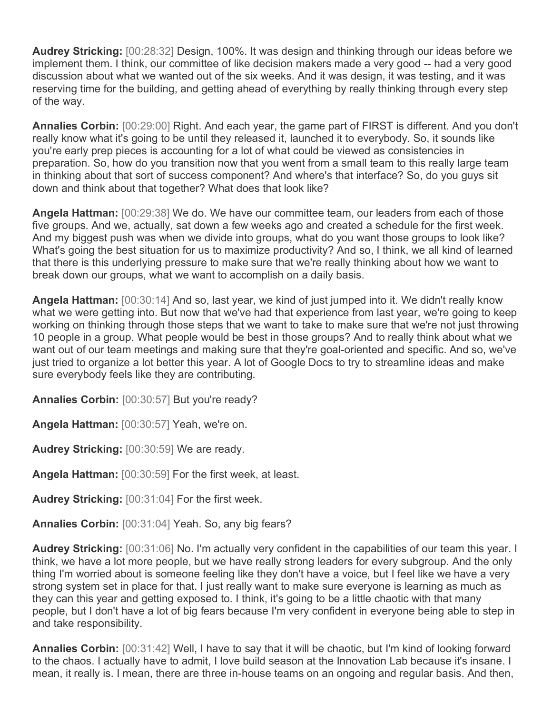**Audrey Stricking:** [00:28:32] Design, 100%. It was design and thinking through our ideas before we implement them. I think, our committee of like decision makers made a very good -- had a very good discussion about what we wanted out of the six weeks. And it was design, it was testing, and it was reserving time for the building, and getting ahead of everything by really thinking through every step of the way.

**Annalies Corbin:** [00:29:00] Right. And each year, the game part of FIRST is different. And you don't really know what it's going to be until they released it, launched it to everybody. So, it sounds like you're early prep pieces is accounting for a lot of what could be viewed as consistencies in preparation. So, how do you transition now that you went from a small team to this really large team in thinking about that sort of success component? And where's that interface? So, do you guys sit down and think about that together? What does that look like?

**Angela Hattman:** [00:29:38] We do. We have our committee team, our leaders from each of those five groups. And we, actually, sat down a few weeks ago and created a schedule for the first week. And my biggest push was when we divide into groups, what do you want those groups to look like? What's going the best situation for us to maximize productivity? And so, I think, we all kind of learned that there is this underlying pressure to make sure that we're really thinking about how we want to break down our groups, what we want to accomplish on a daily basis.

**Angela Hattman:** [00:30:14] And so, last year, we kind of just jumped into it. We didn't really know what we were getting into. But now that we've had that experience from last year, we're going to keep working on thinking through those steps that we want to take to make sure that we're not just throwing 10 people in a group. What people would be best in those groups? And to really think about what we want out of our team meetings and making sure that they're goal-oriented and specific. And so, we've just tried to organize a lot better this year. A lot of Google Docs to try to streamline ideas and make sure everybody feels like they are contributing.

**Annalies Corbin:** [00:30:57] But you're ready?

**Angela Hattman:** [00:30:57] Yeah, we're on.

**Audrey Stricking:** [00:30:59] We are ready.

**Angela Hattman:** [00:30:59] For the first week, at least.

**Audrey Stricking:** [00:31:04] For the first week.

**Annalies Corbin:** [00:31:04] Yeah. So, any big fears?

**Audrey Stricking:** [00:31:06] No. I'm actually very confident in the capabilities of our team this year. I think, we have a lot more people, but we have really strong leaders for every subgroup. And the only thing I'm worried about is someone feeling like they don't have a voice, but I feel like we have a very strong system set in place for that. I just really want to make sure everyone is learning as much as they can this year and getting exposed to. I think, it's going to be a little chaotic with that many people, but I don't have a lot of big fears because I'm very confident in everyone being able to step in and take responsibility.

**Annalies Corbin:** [00:31:42] Well, I have to say that it will be chaotic, but I'm kind of looking forward to the chaos. I actually have to admit, I love build season at the Innovation Lab because it's insane. I mean, it really is. I mean, there are three in-house teams on an ongoing and regular basis. And then,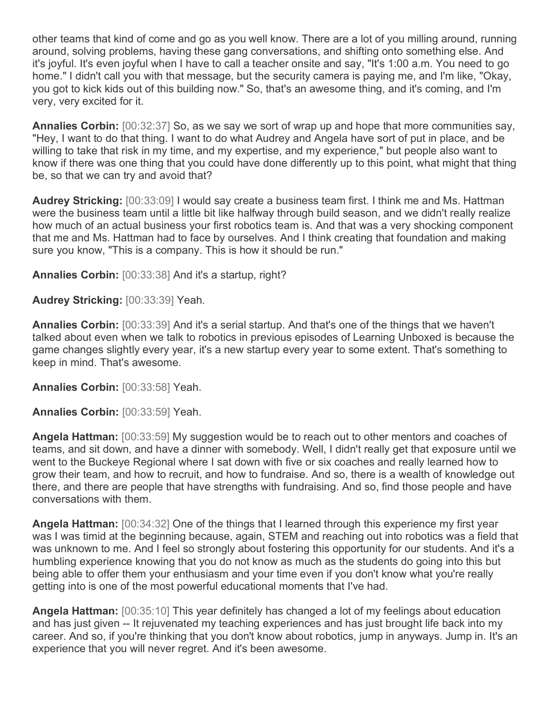other teams that kind of come and go as you well know. There are a lot of you milling around, running around, solving problems, having these gang conversations, and shifting onto something else. And it's joyful. It's even joyful when I have to call a teacher onsite and say, "It's 1:00 a.m. You need to go home." I didn't call you with that message, but the security camera is paying me, and I'm like, "Okay, you got to kick kids out of this building now." So, that's an awesome thing, and it's coming, and I'm very, very excited for it.

**Annalies Corbin:** [00:32:37] So, as we say we sort of wrap up and hope that more communities say, "Hey, I want to do that thing. I want to do what Audrey and Angela have sort of put in place, and be willing to take that risk in my time, and my expertise, and my experience," but people also want to know if there was one thing that you could have done differently up to this point, what might that thing be, so that we can try and avoid that?

**Audrey Stricking:** [00:33:09] I would say create a business team first. I think me and Ms. Hattman were the business team until a little bit like halfway through build season, and we didn't really realize how much of an actual business your first robotics team is. And that was a very shocking component that me and Ms. Hattman had to face by ourselves. And I think creating that foundation and making sure you know, "This is a company. This is how it should be run."

**Annalies Corbin:** [00:33:38] And it's a startup, right?

**Audrey Stricking:** [00:33:39] Yeah.

**Annalies Corbin:** [00:33:39] And it's a serial startup. And that's one of the things that we haven't talked about even when we talk to robotics in previous episodes of Learning Unboxed is because the game changes slightly every year, it's a new startup every year to some extent. That's something to keep in mind. That's awesome.

**Annalies Corbin:** [00:33:58] Yeah.

**Annalies Corbin:** [00:33:59] Yeah.

**Angela Hattman:** [00:33:59] My suggestion would be to reach out to other mentors and coaches of teams, and sit down, and have a dinner with somebody. Well, I didn't really get that exposure until we went to the Buckeye Regional where I sat down with five or six coaches and really learned how to grow their team, and how to recruit, and how to fundraise. And so, there is a wealth of knowledge out there, and there are people that have strengths with fundraising. And so, find those people and have conversations with them.

**Angela Hattman:** [00:34:32] One of the things that I learned through this experience my first year was I was timid at the beginning because, again, STEM and reaching out into robotics was a field that was unknown to me. And I feel so strongly about fostering this opportunity for our students. And it's a humbling experience knowing that you do not know as much as the students do going into this but being able to offer them your enthusiasm and your time even if you don't know what you're really getting into is one of the most powerful educational moments that I've had.

**Angela Hattman:** [00:35:10] This year definitely has changed a lot of my feelings about education and has just given -- It rejuvenated my teaching experiences and has just brought life back into my career. And so, if you're thinking that you don't know about robotics, jump in anyways. Jump in. It's an experience that you will never regret. And it's been awesome.